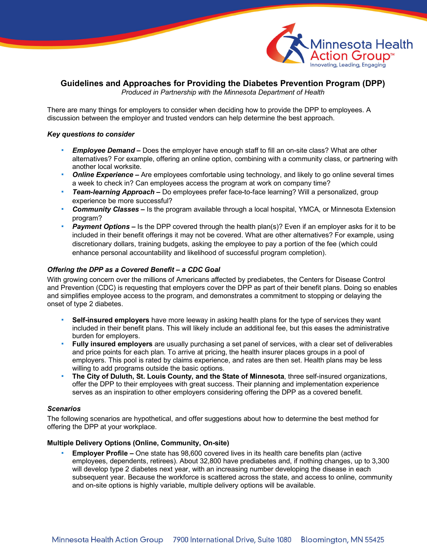

# **Guidelines and Approaches for Providing the Diabetes Prevention Program (DPP)**

*Produced in Partnership with the Minnesota Department of Health*

There are many things for employers to consider when deciding how to provide the DPP to employees. A discussion between the employer and trusted vendors can help determine the best approach.

#### *Key questions to consider*

- *Employee Demand* **–** Does the employer have enough staff to fill an on-site class? What are other alternatives? For example, offering an online option, combining with a community class, or partnering with another local worksite.
- *Online Experience* **–** Are employees comfortable using technology, and likely to go online several times a week to check in? Can employees access the program at work on company time?
- *Team-learning Approach* **–** Do employees prefer face-to-face learning? Will a personalized, group experience be more successful?
- *Community Classes* **–** Is the program available through a local hospital, YMCA, or Minnesota Extension program?
- **Payment Options** Is the DPP covered through the health plan(s)? Even if an employer asks for it to be included in their benefit offerings it may not be covered. What are other alternatives? For example, using discretionary dollars, training budgets, asking the employee to pay a portion of the fee (which could enhance personal accountability and likelihood of successful program completion).

#### *Offering the DPP as a Covered Benefit – a CDC Goal*

With growing concern over the millions of Americans affected by prediabetes, the Centers for Disease Control and Prevention (CDC) is requesting that employers cover the DPP as part of their benefit plans. Doing so enables and simplifies employee access to the program, and demonstrates a commitment to stopping or delaying the onset of type 2 diabetes.

- **Self-insured employers** have more leeway in asking health plans for the type of services they want included in their benefit plans. This will likely include an additional fee, but this eases the administrative burden for employers.
- **Fully insured employers** are usually purchasing a set panel of services, with a clear set of deliverables and price points for each plan. To arrive at pricing, the health insurer places groups in a pool of employers. This pool is rated by claims experience, and rates are then set. Health plans may be less willing to add programs outside the basic options.
- **The City of Duluth, St. Louis County, and the State of Minnesota**, three self-insured organizations, offer the DPP to their employees with great success. Their planning and implementation experience serves as an inspiration to other employers considering offering the DPP as a covered benefit.

#### *Scenarios*

The following scenarios are hypothetical, and offer suggestions about how to determine the best method for offering the DPP at your workplace.

#### **Multiple Delivery Options (Online, Community, On-site)**

**Employer Profile –** One state has 98,600 covered lives in its health care benefits plan (active employees, dependents, retirees). About 32,800 have prediabetes and, if nothing changes, up to 3,300 will develop type 2 diabetes next year, with an increasing number developing the disease in each subsequent year. Because the workforce is scattered across the state, and access to online, community and on-site options is highly variable, multiple delivery options will be available.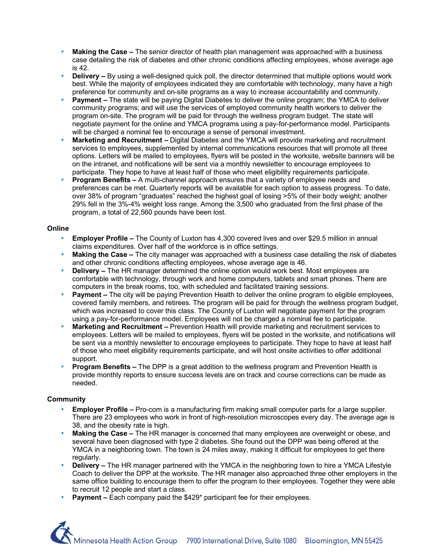- **Making the Case –** The senior director of health plan management was approached with a business case detailing the risk of diabetes and other chronic conditions affecting employees, whose average age is 42.
- **Delivery –** By using a well-designed quick poll, the director determined that multiple options would work best. While the majority of employees indicated they are comfortable with technology, many have a high preference for community and on-site programs as a way to increase accountability and community.
- **Payment –** The state will be paying Digital Diabetes to deliver the online program; the YMCA to deliver community programs; and will use the services of employed community health workers to deliver the program on-site. The program will be paid for through the wellness program budget. The state will negotiate payment for the online and YMCA programs using a pay-for-performance model. Participants will be charged a nominal fee to encourage a sense of personal investment.
- **Marketing and Recruitment –** Digital Diabetes and the YMCA will provide marketing and recruitment services to employees, supplemented by internal communications resources that will promote all three options. Letters will be mailed to employees, flyers will be posted in the worksite, website banners will be on the intranet, and notifications will be sent via a monthly newsletter to encourage employees to participate. They hope to have at least half of those who meet eligibility requirements participate.
- **Program Benefits –** A multi-channel approach ensures that a variety of employee needs and preferences can be met. Quarterly reports will be available for each option to assess progress. To date, over 38% of program "graduates" reached the highest goal of losing >5% of their body weight; another 29% fell in the 3%-4% weight loss range. Among the 3,500 who graduated from the first phase of the program, a total of 22,560 pounds have been lost.

## **Online**

- **Employer Profile –** The County of Luxton has 4,300 covered lives and over \$29.5 million in annual claims expenditures. Over half of the workforce is in office settings.
- **Making the Case –** The city manager was approached with a business case detailing the risk of diabetes and other chronic conditions affecting employees, whose average age is 46.
- **Delivery –** The HR manager determined the online option would work best. Most employees are comfortable with technology, through work and home computers, tablets and smart phones. There are computers in the break rooms, too, with scheduled and facilitated training sessions.
- **Payment –** The city will be paying Prevention Health to deliver the online program to eligible employees, covered family members, and retirees. The program will be paid for through the wellness program budget, which was increased to cover this class. The County of Luxton will negotiate payment for the program using a pay-for-performance model. Employees will not be charged a nominal fee to participate.
- **Marketing and Recruitment –** Prevention Health will provide marketing and recruitment services to employees. Letters will be mailed to employees, flyers will be posted in the worksite, and notifications will be sent via a monthly newsletter to encourage employees to participate. They hope to have at least half of those who meet eligibility requirements participate, and will host onsite activities to offer additional support.
- **Program Benefits –** The DPP is a great addition to the wellness program and Prevention Health is provide monthly reports to ensure success levels are on track and course corrections can be made as needed.

# **Community**

- a. **Employer Profile –** Pro-com is a manufacturing firm making small computer parts for a large supplier. There are 23 employees who work in front of high-resolution microscopes every day. The average age is 38, and the obesity rate is high.
- **Making the Case –** The HR manager is concerned that many employees are overweight or obese, and several have been diagnosed with type 2 diabetes. She found out the DPP was being offered at the YMCA in a neighboring town. The town is 24 miles away, making it difficult for employees to get there regularly.
- **Delivery –** The HR manager partnered with the YMCA in the neighboring town to hire a YMCA Lifestyle Coach to deliver the DPP at the worksite. The HR manager also approached three other employers in the same office building to encourage them to offer the program to their employees. Together they were able to recruit 12 people and start a class.
- **Payment –** Each company paid the \$429\* participant fee for their employees.